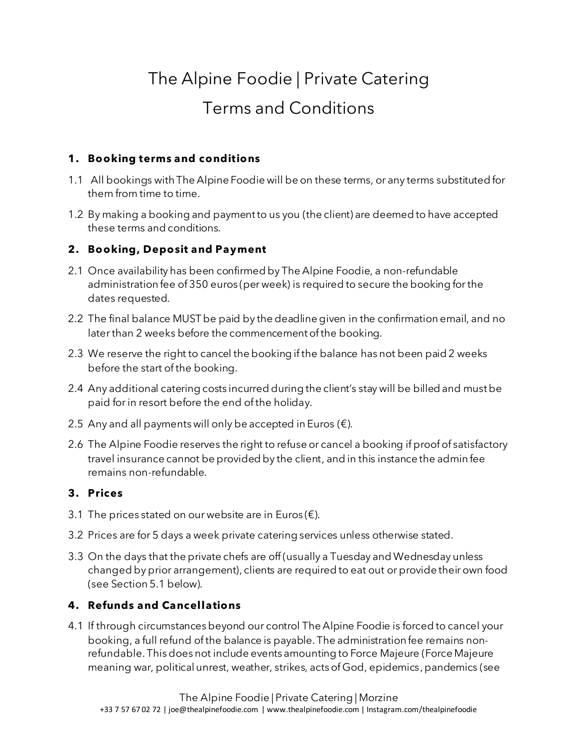# The Alpine Foodie | Private Catering Terms and Conditions

#### **1. Booking terms and conditions**

- 1.1 All bookings with The Alpine Foodie will be on these terms, or any terms substituted for them from time to time.
- 1.2 By making a booking and payment to us you (the client) are deemed to have accepted these terms and conditions.

#### **2. Booking, Deposit and Payment**

- 2.1 Once availability has been confirmed by The Alpine Foodie, a non-refundable administration fee of 350 euros (per week) is required to secure the booking for the dates requested.
- 2.2 The final balance MUST be paid by the deadline given in the confirmation email, and no later than 2 weeks before the commencement of the booking.
- 2.3 We reserve the right to cancel the booking if the balance has not been paid 2 weeks before the start of the booking.
- 2.4 Any additional catering costs incurred during the client's stay will be billed and must be paid for in resort before the end of the holiday.
- 2.5 Any and all payments will only be accepted in Euros  $(\epsilon)$ .
- 2.6 The Alpine Foodie reserves the right to refuse or cancel a booking if proof of satisfactory travel insurance cannot be provided by the client, and in this instance the admin fee remains non-refundable.

#### **3. Prices**

- 3.1 The prices stated on our website are in Euros ( $\epsilon$ ).
- 3.2 Prices are for 5 days a week private catering services unless otherwise stated.
- 3.3 On the days that the private chefs are off (usually a Tuesday and Wednesday unless changed by prior arrangement), clients are required to eat out or provide their own food (see Section 5.1 below).

## **4. Refunds and Cancellations**

4.1 If through circumstances beyond our control The Alpine Foodie is forced to cancel your booking, a full refund of the balance is payable. The administration fee remains nonrefundable. This does not include events amounting to Force Majeure (Force Majeure meaning war, political unrest, weather, strikes, acts of God, epidemics, pandemics (see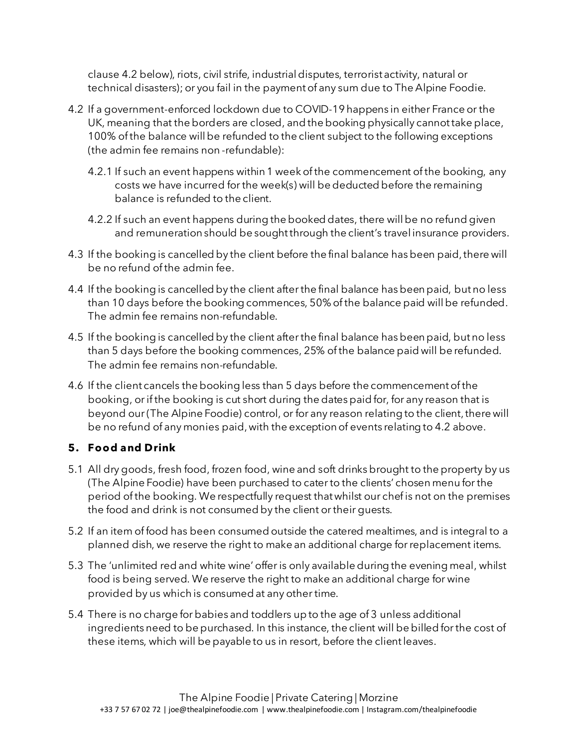clause 4.2 below), riots, civil strife, industrial disputes, terrorist activity, natural or technical disasters); or you fail in the payment of any sum due to The Alpine Foodie.

- 4.2 If a government-enforced lockdown due to COVID-19 happens in either France or the UK, meaning that the borders are closed, and the booking physically cannot take place, 100% of the balance will be refunded to the client subject to the following exceptions (the admin fee remains non -refundable):
	- 4.2.1 If such an event happens within 1 week of the commencement of the booking, any costs we have incurred for the week(s) will be deducted before the remaining balance is refunded to the client.
	- 4.2.2 If such an event happens during the booked dates, there will be no refund given and remuneration should be sought through the client's travel insurance providers.
- 4.3 If the booking is cancelled by the client before the final balance has been paid, there will be no refund of the admin fee.
- 4.4 If the booking is cancelled by the client after the final balance has been paid, but no less than 10 days before the booking commences, 50% of the balance paid will be refunded. The admin fee remains non-refundable.
- 4.5 If the booking is cancelled by the client after the final balance has been paid, but no less than 5 days before the booking commences, 25% of the balance paid will be refunded. The admin fee remains non-refundable.
- 4.6 If the client cancels the booking less than 5 days before the commencement of the booking, or if the booking is cut short during the dates paid for, for any reason that is beyond our (The Alpine Foodie) control, or for any reason relating to the client, there will be no refund of any monies paid,with the exception of events relating to 4.2 above.

## **5. Food and Drink**

- 5.1 All dry goods, fresh food, frozen food, wine and soft drinks brought to the property by us (The Alpine Foodie) have been purchased to cater to the clients' chosen menu for the period of the booking. We respectfully request that whilst our chef is not on the premises the food and drink is not consumed by the client or their guests.
- 5.2 If an item of food has been consumed outside the catered mealtimes, and is integral to a planned dish, we reserve the right to make an additional charge for replacement items.
- 5.3 The 'unlimited red and white wine' offeris only available during the evening meal, whilst food is being served. We reserve the right to make an additional charge for wine provided by us which is consumed at any other time.
- 5.4 There is no charge for babies and toddlers up to the age of 3 unless additional ingredients need to be purchased. In this instance, the client will be billed for the cost of these items, which will be payable to us in resort, before the client leaves.